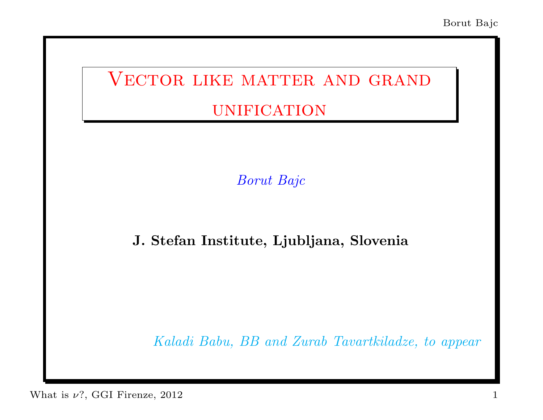# VECTOR LIKE MATTER AND GRAND **UNIFICATION**

Borut Bajc

#### J. Stefan Institute, Ljubljana, Slovenia

Kaladi Babu, BB and Zurab Tavartkiladze, to appear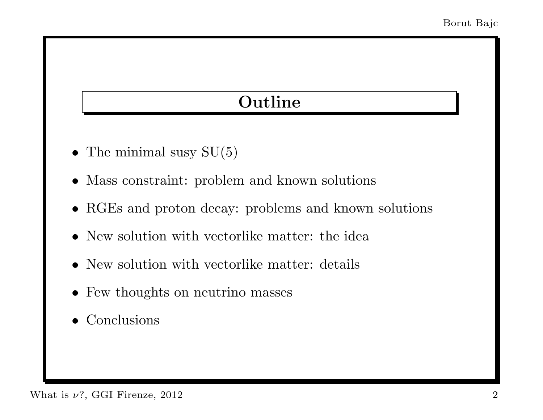### Outline

- The minimal susy  $SU(5)$
- Mass constraint: problem and known solutions
- RGEs and proton decay: problems and known solutions
- New solution with vectorlike matter: the idea
- New solution with vectorlike matter: details
- Few thoughts on neutrino masses
- Conclusions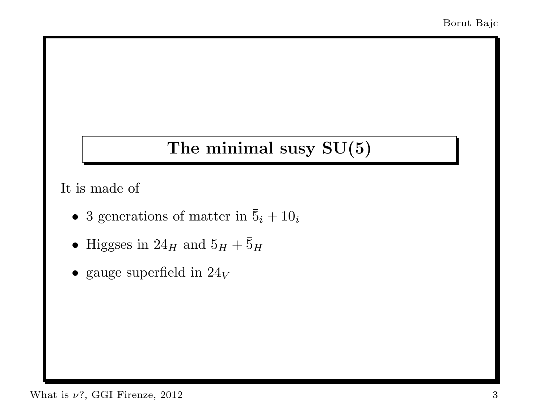#### The minimal susy SU(5)

It is made of

- 3 generations of matter in  $\bar{5}_i + 10_i$
- Higgses in  $24_H$  and  $5_H + \bar{5}_H$
- gauge superfield in  $24_V$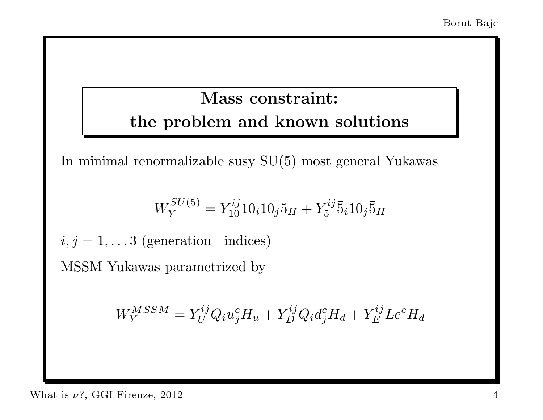### Mass constraint: the problem and known solutions

In minimal renormalizable susy SU(5) most general Yukawas

$$
W_Y^{SU(5)} = Y_{10}^{ij} 10_i 10_j 5_H + Y_5^{ij} \overline{5}_i 10_j \overline{5}_H
$$

 $i, j = 1, \ldots 3$  (generation indices)

MSSM Yukawas parametrized by

$$
W_Y^{MSSM} = Y_U^{ij} Q_i u_j^c H_u + Y_D^{ij} Q_i d_j^c H_d + Y_E^{ij} L e^c H_d
$$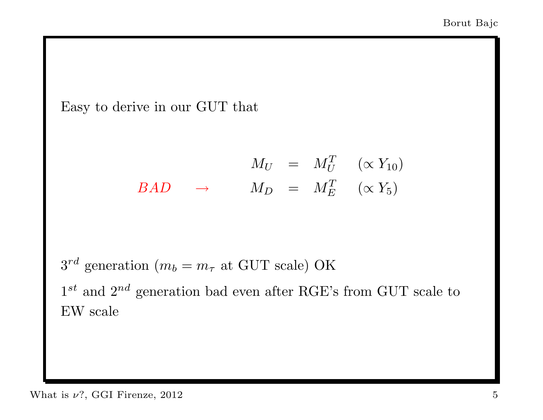Easy to derive in our GUT that

$$
M_U = M_U^T \quad (\propto Y_{10})
$$
  

$$
BAD \quad \rightarrow \quad M_D = M_E^T \quad (\propto Y_5)
$$

 $3^{rd}$  generation  $(m_b = m_\tau \text{ at GUT scale})$  OK

 $1^{st}$  and  $2^{nd}$  generation bad even after RGE's from GUT scale to EW scale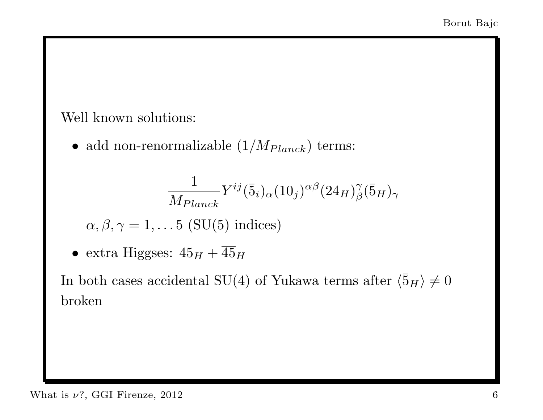#### Well known solutions:

 $\bullet\,$ add non-renormalizable  $(1/M_{Planck})$  terms:

$$
\frac{1}{M_{Planck}} Y^{ij} (\bar{5}_i)_{\alpha} (10_j)^{\alpha \beta} (24_H)^{\gamma}_{\beta} (\bar{5}_H)_{\gamma}
$$

$$
\alpha, \beta, \gamma = 1, \dots 5 \text{ (SU(5) indices)}
$$

• extra Higgses:  $45_H + \overline{45}_H$ 

In both cases accidental SU(4) of Yukawa terms after  $\langle \bar{5}_H \rangle \neq 0$ broken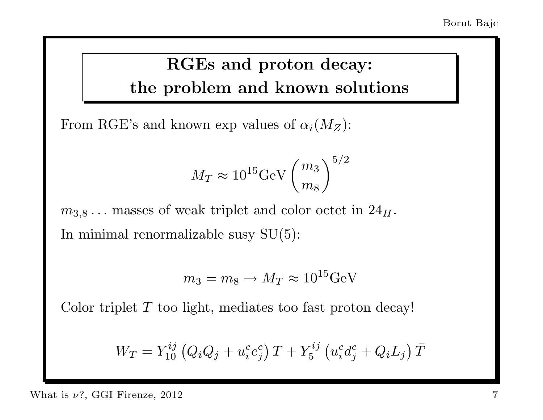### RGEs and proton decay: the problem and known solutions

From RGE's and known exp values of  $\alpha_i(M_Z)$ :

$$
M_T \approx 10^{15} {\rm GeV} \left(\frac{m_3}{m_8}\right)^{5/2}
$$

 $m_{3,8} \ldots$  masses of weak triplet and color octet in  $24_H$ . In minimal renormalizable susy  $SU(5)$ :

$$
m_3 = m_8 \to M_T \approx 10^{15} \text{GeV}
$$

Color triplet T too light, mediates too fast proton decay!

$$
W_T = Y_{10}^{ij} (Q_i Q_j + u_i^c e_j^c) T + Y_5^{ij} (u_i^c d_j^c + Q_i L_j) \bar{T}
$$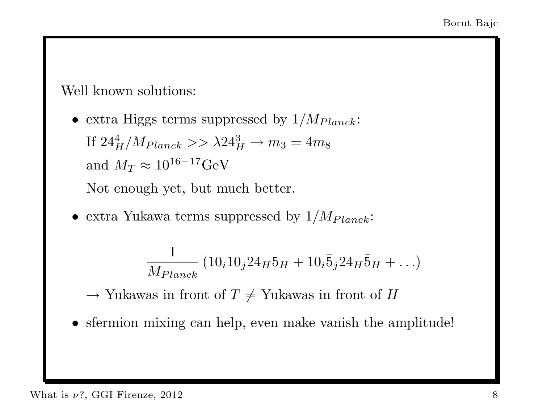Well known solutions:

• extra Higgs terms suppressed by  $1/M_{Planck}$ : If  $24_H^4/M_{Planck} >> \lambda 24_H^3 \to m_3 = 4 m_8$ and  $M_T \approx 10^{16-17} \text{GeV}$ 

Not enough yet, but much better.

• extra Yukawa terms suppressed by  $1/M_{Planck}$ :

$$
\frac{1}{M_{Planck}} (10_i 10_j 24_H 5_H + 10_i 5_j 24_H 5_H + \ldots)
$$

 $\rightarrow$  Yukawas in front of  $T \neq$  Yukawas in front of H

• sfermion mixing can help, even make vanish the amplitude!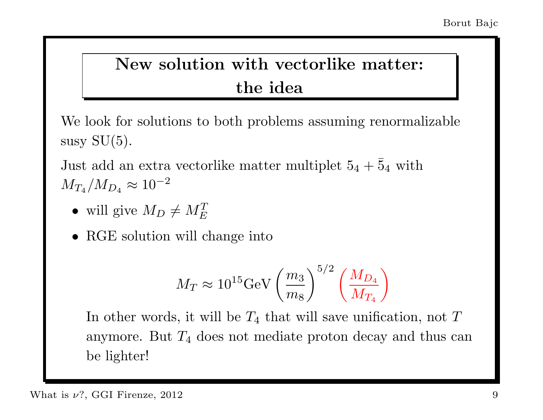# New solution with vectorlike matter: the idea

We look for solutions to both problems assuming renormalizable susy  $SU(5)$ .

Just add an extra vectorlike matter multiplet  $5_4 + 5_4$  with  $M_{T_4}/M_{D_4} \approx 10^{-2}$ 

- will give  $M_D \neq M_E^T$
- RGE solution will change into

$$
M_T \approx 10^{15} {\rm GeV} \left(\frac{m_3}{m_8}\right)^{5/2} \left(\frac{M_{D_4}}{M_{T_4}}\right)
$$

In other words, it will be  $T_4$  that will save unification, not  $T$ anymore. But  $T_4$  does not mediate proton decay and thus can be lighter!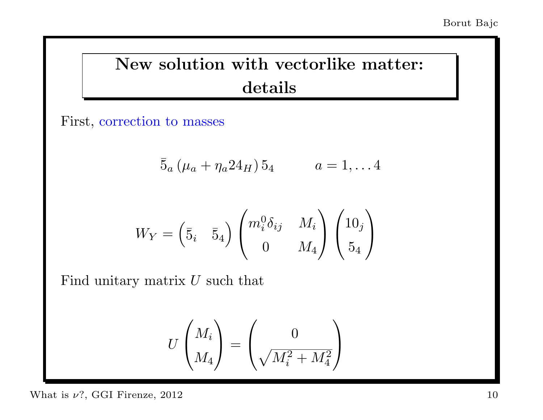## New solution with vectorlike matter: details

First, correction to masses

$$
\bar{5}_a \left(\mu_a + \eta_a 24_H\right) 5_4 \qquad a = 1, \ldots 4
$$

$$
W_Y = \begin{pmatrix} \bar{5}_i & \bar{5}_4 \end{pmatrix} \begin{pmatrix} m_i^0 \delta_{ij} & M_i \\ 0 & M_4 \end{pmatrix} \begin{pmatrix} 10_j \\ 5_4 \end{pmatrix}
$$

Find unitary matrix  $U$  such that

$$
U\begin{pmatrix}M_i\\M_4\end{pmatrix}=\begin{pmatrix}0\\ \sqrt{M_i^2+M_4^2}\end{pmatrix}
$$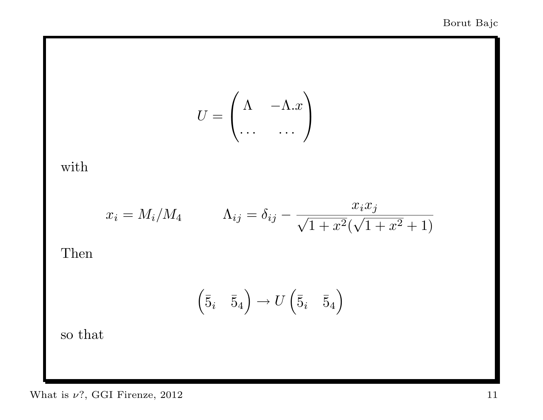$$
U = \begin{pmatrix} \Lambda & -\Lambda.x \\ \dots & \dots \end{pmatrix}
$$

with

$$
x_i = M_i/M_4 \qquad \Lambda_{ij} = \delta_{ij} - \frac{x_i x_j}{\sqrt{1 + x^2}(\sqrt{1 + x^2} + 1)}
$$

Then

$$
\begin{pmatrix} \bar{5}_i & \bar{5}_4 \end{pmatrix} \rightarrow U \begin{pmatrix} \bar{5}_i & \bar{5}_4 \end{pmatrix}
$$

so that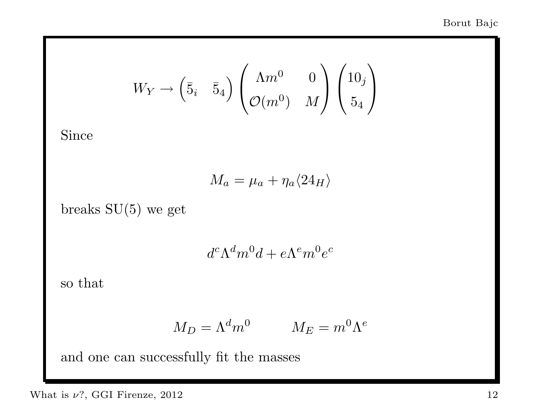$$
W_Y \to \begin{pmatrix} \overline{5}_i & \overline{5}_4 \end{pmatrix} \begin{pmatrix} \Lambda m^0 & 0 \\ \mathcal{O}(m^0) & M \end{pmatrix} \begin{pmatrix} 10_j \\ 5_4 \end{pmatrix}
$$

Since

$$
M_a = \mu_a + \eta_a \langle 24_H \rangle
$$

breaks SU(5) we get

 $d^c \Lambda^d m^0 d + e \Lambda^e m^0 e^c$ 

so that

$$
M_D = \Lambda^d m^0 \qquad \quad M_E = m^0 \Lambda^e
$$

and one can successfully fit the masses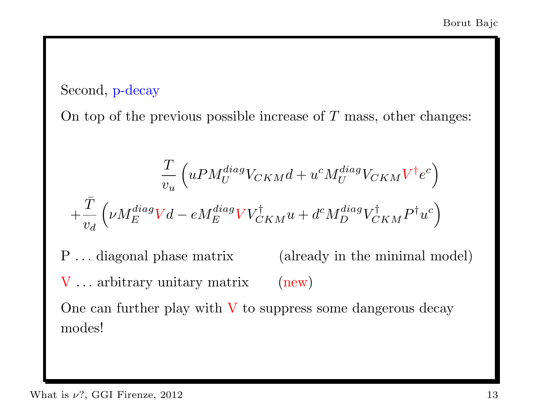#### Second, p-decay

On top of the previous possible increase of  $T$  mass, other changes:

$$
\frac{T}{v_u} \left( u P M_U^{diag} V_{CKM} d + u^c M_U^{diag} V_{CKM} V^{\dagger} e^c \right)
$$

$$
+ \frac{\bar{T}}{v_d} \left( \nu M_E^{diag} V d - e M_E^{diag} V V_{CKM}^{\dagger} u + d^c M_D^{diag} V_{CKM}^{\dagger} P^{\dagger} u^c \right)
$$

P ... diagonal phase matrix (already in the minimal model) V ... arbitrary unitary matrix (new) One can further play with  $V$  to suppress some dangerous decay modes!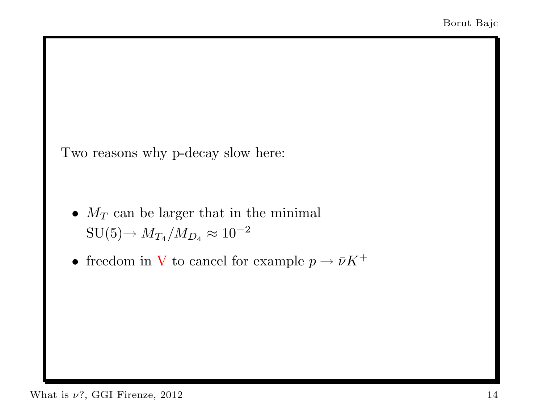Two reasons why p-decay slow here:

- $M_T$  can be larger that in the minimal  $\mathop{\rm SU}(5) {\rightarrow}~M_{T_4}/M_{D_4} \approx 10^{-2}$
- freedom in V to cancel for example  $p \to \bar{\nu} K^+$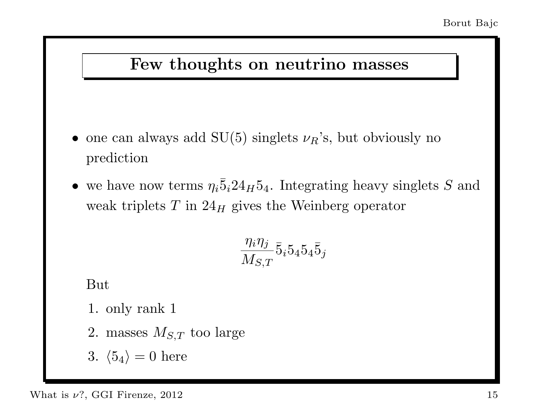#### Few thoughts on neutrino masses

- one can always add  $SU(5)$  singlets  $\nu_R$ 's, but obviously no prediction
- we have now terms  $\eta_i \bar{5}_i 24_H 5_4$ . Integrating heavy singlets S and weak triplets  $T$  in  $24<sub>H</sub>$  gives the Weinberg operator

$$
\frac{\eta_i\eta_j}{M_{S,T}}\bar 5_i 5_4 5_4 \bar 5_j
$$

But

1. only rank 1

- 2. masses  $M_{S,T}$  too large
- 3.  $\langle 5_4 \rangle = 0$  here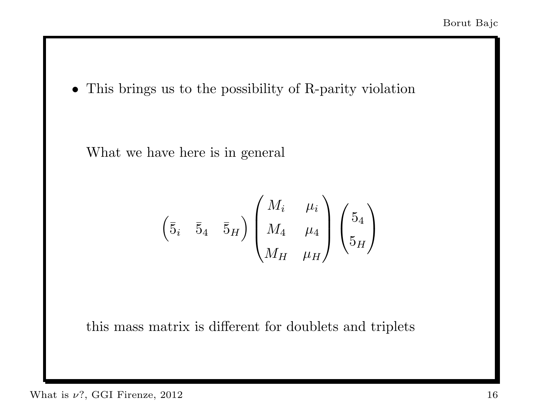• This brings us to the possibility of R-parity violation

What we have here is in general

$$
\begin{pmatrix} \bar{5}_i & \bar{5}_4 & \bar{5}_H \end{pmatrix} \begin{pmatrix} M_i & \mu_i \\ M_4 & \mu_4 \\ M_H & \mu_H \end{pmatrix} \begin{pmatrix} 5_4 \\ 5_H \end{pmatrix}
$$

this mass matrix is different for doublets and triplets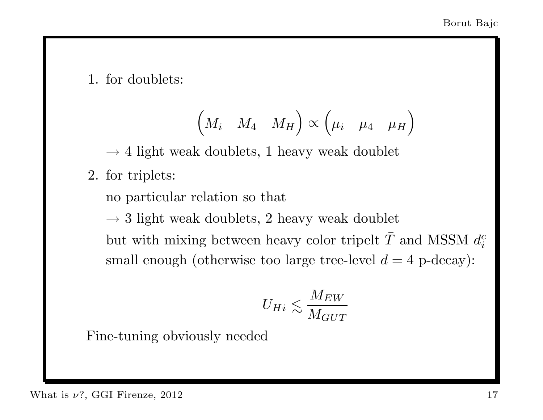1. for doublets:

$$
\begin{pmatrix} M_i & M_4 & M_H \end{pmatrix} \propto \begin{pmatrix} \mu_i & \mu_4 & \mu_H \end{pmatrix}
$$

 $\rightarrow$  4 light weak doublets, 1 heavy weak doublet

2. for triplets:

no particular relation so that

 $\rightarrow$  3 light weak doublets, 2 heavy weak doublet but with mixing between heavy color tripelt  $\bar{T}$  and MSSM  $d_i^c$ i small enough (otherwise too large tree-level  $d = 4$  p-decay):

$$
U_{Hi} \lesssim \frac{M_{EW}}{M_{GUT}}
$$

Fine-tuning obviously needed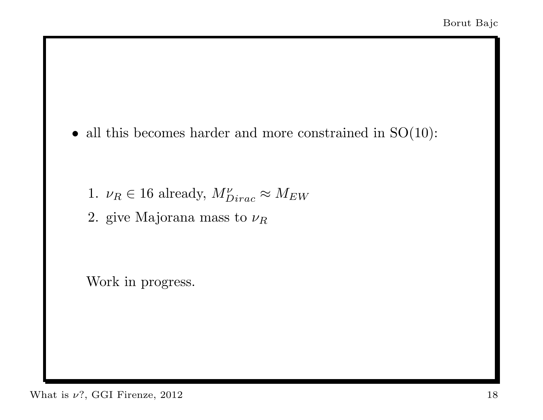• all this becomes harder and more constrained in  $SO(10)$ :

- 1.  $\nu_R \in 16$  already,  $M_{Dirac}^{\nu} \approx M_{EW}$
- 2. give Majorana mass to  $\nu_R$

Work in progress.